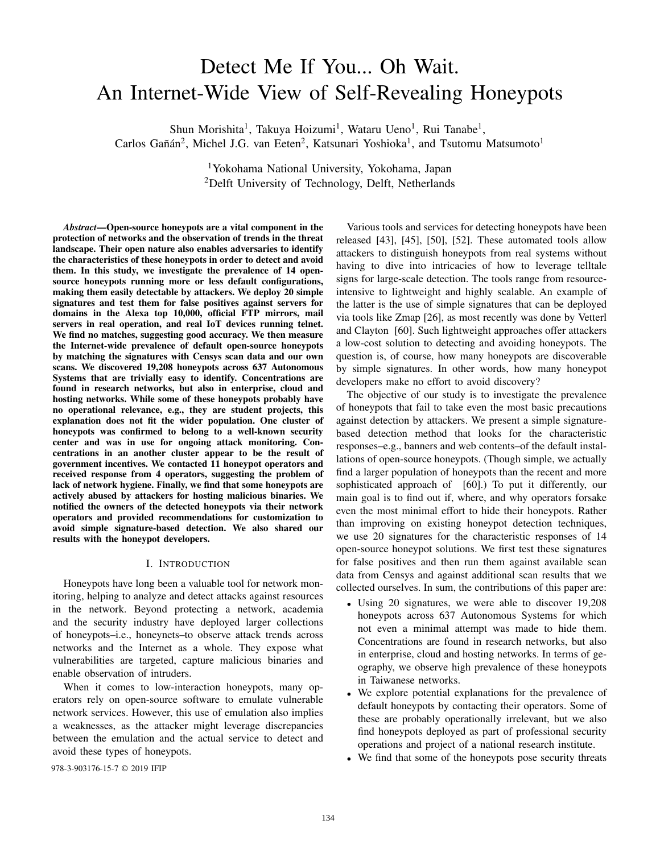# Detect Me If You... Oh Wait. An Internet-Wide View of Self-Revealing Honeypots

Shun Morishita<sup>1</sup>, Takuya Hoizumi<sup>1</sup>, Wataru Ueno<sup>1</sup>, Rui Tanabe<sup>1</sup>, Carlos Gañán<sup>2</sup>, Michel J.G. van Eeten<sup>2</sup>, Katsunari Yoshioka<sup>1</sup>, and Tsutomu Matsumoto<sup>1</sup>

> <sup>1</sup>Yokohama National University, Yokohama, Japan <sup>2</sup>Delft University of Technology, Delft, Netherlands

*Abstract*—Open-source honeypots are a vital component in the protection of networks and the observation of trends in the threat landscape. Their open nature also enables adversaries to identify the characteristics of these honeypots in order to detect and avoid them. In this study, we investigate the prevalence of 14 opensource honeypots running more or less default configurations, making them easily detectable by attackers. We deploy 20 simple signatures and test them for false positives against servers for domains in the Alexa top 10,000, official FTP mirrors, mail servers in real operation, and real IoT devices running telnet. We find no matches, suggesting good accuracy. We then measure the Internet-wide prevalence of default open-source honeypots by matching the signatures with Censys scan data and our own scans. We discovered 19,208 honeypots across 637 Autonomous Systems that are trivially easy to identify. Concentrations are found in research networks, but also in enterprise, cloud and hosting networks. While some of these honeypots probably have no operational relevance, e.g., they are student projects, this explanation does not fit the wider population. One cluster of honeypots was confirmed to belong to a well-known security center and was in use for ongoing attack monitoring. Concentrations in an another cluster appear to be the result of government incentives. We contacted 11 honeypot operators and received response from 4 operators, suggesting the problem of lack of network hygiene. Finally, we find that some honeypots are actively abused by attackers for hosting malicious binaries. We notified the owners of the detected honeypots via their network operators and provided recommendations for customization to avoid simple signature-based detection. We also shared our results with the honeypot developers.

# I. INTRODUCTION

Honeypots have long been a valuable tool for network monitoring, helping to analyze and detect attacks against resources in the network. Beyond protecting a network, academia and the security industry have deployed larger collections of honeypots–i.e., honeynets–to observe attack trends across networks and the Internet as a whole. They expose what vulnerabilities are targeted, capture malicious binaries and enable observation of intruders.

When it comes to low-interaction honeypots, many operators rely on open-source software to emulate vulnerable network services. However, this use of emulation also implies a weaknesses, as the attacker might leverage discrepancies between the emulation and the actual service to detect and avoid these types of honeypots.

978-3-903176-15-7 © 2019 IFIP

Various tools and services for detecting honeypots have been released [43], [45], [50], [52]. These automated tools allow attackers to distinguish honeypots from real systems without having to dive into intricacies of how to leverage telltale signs for large-scale detection. The tools range from resourceintensive to lightweight and highly scalable. An example of the latter is the use of simple signatures that can be deployed via tools like Zmap [26], as most recently was done by Vetterl and Clayton [60]. Such lightweight approaches offer attackers a low-cost solution to detecting and avoiding honeypots. The question is, of course, how many honeypots are discoverable by simple signatures. In other words, how many honeypot developers make no effort to avoid discovery?

The objective of our study is to investigate the prevalence of honeypots that fail to take even the most basic precautions against detection by attackers. We present a simple signaturebased detection method that looks for the characteristic responses–e.g., banners and web contents–of the default installations of open-source honeypots. (Though simple, we actually find a larger population of honeypots than the recent and more sophisticated approach of [60].) To put it differently, our main goal is to find out if, where, and why operators forsake even the most minimal effort to hide their honeypots. Rather than improving on existing honeypot detection techniques, we use 20 signatures for the characteristic responses of 14 open-source honeypot solutions. We first test these signatures for false positives and then run them against available scan data from Censys and against additional scan results that we collected ourselves. In sum, the contributions of this paper are:

- Using 20 signatures, we were able to discover 19,208 honeypots across 637 Autonomous Systems for which not even a minimal attempt was made to hide them. Concentrations are found in research networks, but also in enterprise, cloud and hosting networks. In terms of geography, we observe high prevalence of these honeypots in Taiwanese networks.
- We explore potential explanations for the prevalence of default honeypots by contacting their operators. Some of these are probably operationally irrelevant, but we also find honeypots deployed as part of professional security operations and project of a national research institute.
- We find that some of the honeypots pose security threats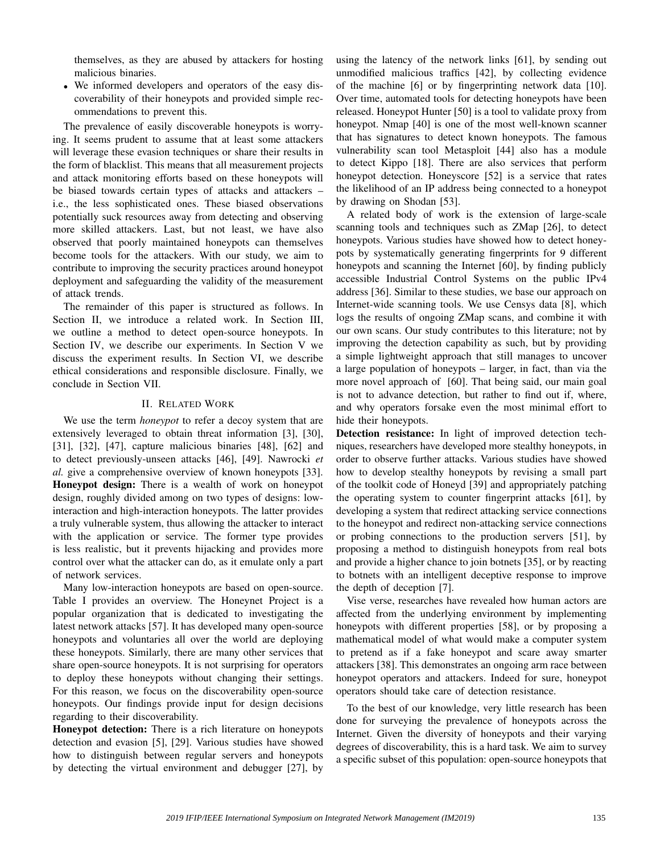themselves, as they are abused by attackers for hosting malicious binaries.

• We informed developers and operators of the easy discoverability of their honeypots and provided simple recommendations to prevent this.

The prevalence of easily discoverable honeypots is worrying. It seems prudent to assume that at least some attackers will leverage these evasion techniques or share their results in the form of blacklist. This means that all measurement projects and attack monitoring efforts based on these honeypots will be biased towards certain types of attacks and attackers – i.e., the less sophisticated ones. These biased observations potentially suck resources away from detecting and observing more skilled attackers. Last, but not least, we have also observed that poorly maintained honeypots can themselves become tools for the attackers. With our study, we aim to contribute to improving the security practices around honeypot deployment and safeguarding the validity of the measurement of attack trends.

The remainder of this paper is structured as follows. In Section II, we introduce a related work. In Section III, we outline a method to detect open-source honeypots. In Section IV, we describe our experiments. In Section V we discuss the experiment results. In Section VI, we describe ethical considerations and responsible disclosure. Finally, we conclude in Section VII.

# II. RELATED WORK

We use the term *honeypot* to refer a decoy system that are extensively leveraged to obtain threat information [3], [30], [31], [32], [47], capture malicious binaries [48], [62] and to detect previously-unseen attacks [46], [49]. Nawrocki *et al.* give a comprehensive overview of known honeypots [33]. Honeypot design: There is a wealth of work on honeypot design, roughly divided among on two types of designs: lowinteraction and high-interaction honeypots. The latter provides a truly vulnerable system, thus allowing the attacker to interact with the application or service. The former type provides is less realistic, but it prevents hijacking and provides more control over what the attacker can do, as it emulate only a part of network services.

Many low-interaction honeypots are based on open-source. Table I provides an overview. The Honeynet Project is a popular organization that is dedicated to investigating the latest network attacks [57]. It has developed many open-source honeypots and voluntaries all over the world are deploying these honeypots. Similarly, there are many other services that share open-source honeypots. It is not surprising for operators to deploy these honeypots without changing their settings. For this reason, we focus on the discoverability open-source honeypots. Our findings provide input for design decisions regarding to their discoverability.

Honeypot detection: There is a rich literature on honeypots detection and evasion [5], [29]. Various studies have showed how to distinguish between regular servers and honeypots by detecting the virtual environment and debugger [27], by using the latency of the network links [61], by sending out unmodified malicious traffics [42], by collecting evidence of the machine [6] or by fingerprinting network data [10]. Over time, automated tools for detecting honeypots have been released. Honeypot Hunter [50] is a tool to validate proxy from honeypot. Nmap [40] is one of the most well-known scanner that has signatures to detect known honeypots. The famous vulnerability scan tool Metasploit [44] also has a module to detect Kippo [18]. There are also services that perform honeypot detection. Honeyscore [52] is a service that rates the likelihood of an IP address being connected to a honeypot by drawing on Shodan [53].

A related body of work is the extension of large-scale scanning tools and techniques such as ZMap [26], to detect honeypots. Various studies have showed how to detect honeypots by systematically generating fingerprints for 9 different honeypots and scanning the Internet [60], by finding publicly accessible Industrial Control Systems on the public IPv4 address [36]. Similar to these studies, we base our approach on Internet-wide scanning tools. We use Censys data [8], which logs the results of ongoing ZMap scans, and combine it with our own scans. Our study contributes to this literature; not by improving the detection capability as such, but by providing a simple lightweight approach that still manages to uncover a large population of honeypots – larger, in fact, than via the more novel approach of [60]. That being said, our main goal is not to advance detection, but rather to find out if, where, and why operators forsake even the most minimal effort to hide their honeypots.

Detection resistance: In light of improved detection techniques, researchers have developed more stealthy honeypots, in order to observe further attacks. Various studies have showed how to develop stealthy honeypots by revising a small part of the toolkit code of Honeyd [39] and appropriately patching the operating system to counter fingerprint attacks [61], by developing a system that redirect attacking service connections to the honeypot and redirect non-attacking service connections or probing connections to the production servers [51], by proposing a method to distinguish honeypots from real bots and provide a higher chance to join botnets [35], or by reacting to botnets with an intelligent deceptive response to improve the depth of deception [7].

Vise verse, researches have revealed how human actors are affected from the underlying environment by implementing honeypots with different properties [58], or by proposing a mathematical model of what would make a computer system to pretend as if a fake honeypot and scare away smarter attackers [38]. This demonstrates an ongoing arm race between honeypot operators and attackers. Indeed for sure, honeypot operators should take care of detection resistance.

To the best of our knowledge, very little research has been done for surveying the prevalence of honeypots across the Internet. Given the diversity of honeypots and their varying degrees of discoverability, this is a hard task. We aim to survey a specific subset of this population: open-source honeypots that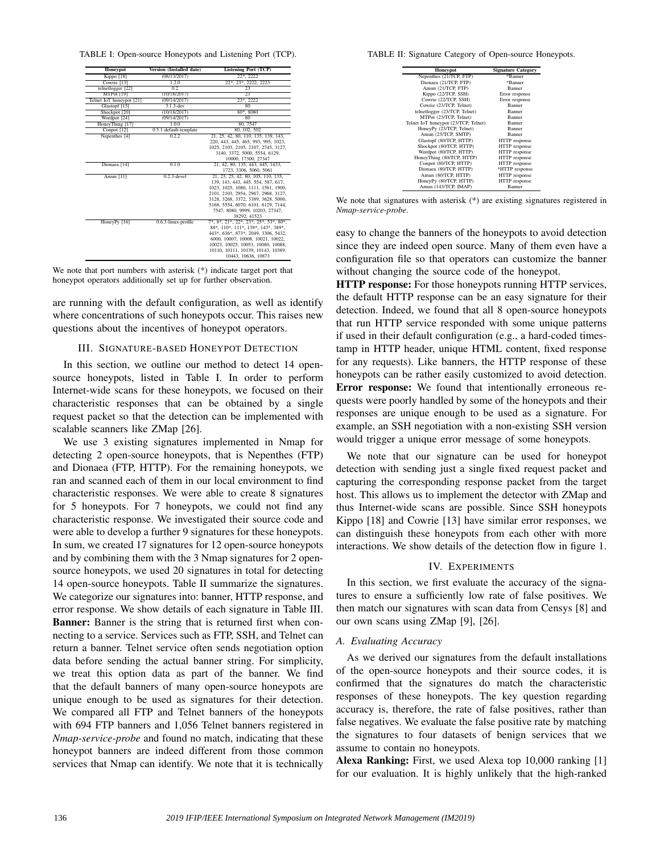TABLE I: Open-source Honeypots and Listening Port (TCP).

| Honeypot                 | Version (Installed date) | <b>Listening Port (TCP)</b>           |  |  |
|--------------------------|--------------------------|---------------------------------------|--|--|
| Kippo [18]               | (08/13/2017)             | 22*, 2222                             |  |  |
| Cowrie [13]              | 1.2.0                    | 22*, 23*, 2222, 2223                  |  |  |
| telnetlogger [22]        | 0.2                      | $\overline{23}$                       |  |  |
| MTPot [19]               | (10/18/2017)             | 23                                    |  |  |
| Telnet IoT honeypot [21] | (09/14/2017)             | 23*, 2222                             |  |  |
| Glastopf [15]            | $3.1.3$ -dev             | 80                                    |  |  |
| Shockpot [20]            | (10/18/2017)             | 80*, 8080                             |  |  |
| Wordpot [24]             | (09/14/2017)             | 80                                    |  |  |
| HoneyThing [17]          | 1.0.0                    | 80, 7547                              |  |  |
| Conpot [12]              | 0.5.1-default-template   | 80, 102, 502                          |  |  |
| Nepenthes [4]            | 0.2.2                    | 21, 25, 42, 80, 110, 135, 139, 143,   |  |  |
|                          |                          | 220, 443, 445, 465, 993, 995, 1023.   |  |  |
|                          |                          | 1025, 2103, 2105, 2107, 2745, 3127,   |  |  |
|                          |                          | 3140, 3372, 5000, 5554, 6129,         |  |  |
|                          |                          | 10000, 17300, 27347                   |  |  |
| Dionaea [14]             | 0.1.0                    | 21, 42, 80, 135, 443, 445, 1433,      |  |  |
|                          |                          | 1723, 3306, 5060, 5061                |  |  |
| Amun [11]                | $0.2.3$ -devel           | 21, 23, 25, 42, 80, 105, 110, 135,    |  |  |
|                          |                          | 139, 143, 443, 445, 554, 587, 617,    |  |  |
|                          |                          | 1023, 1025, 1080, 1111, 1581, 1900,   |  |  |
|                          |                          | 2101, 2103, 2954, 2967, 2968, 3127,   |  |  |
|                          |                          | 3128, 3268, 3372, 3389, 3628, 5000,   |  |  |
|                          |                          | 5168, 5554, 6070, 6101, 6129, 7144,   |  |  |
|                          |                          | 7547, 8080, 9999, 10203, 27347,       |  |  |
|                          |                          | 38292, 41523                          |  |  |
| HoneyPv [16]             | 0.6.3-linux-profile      | 7*, 8*, 21*, 22*, 23*, 25*, 53*, 80*, |  |  |
|                          |                          | 88*, 110*, 111*, 139*, 143*, 389*,    |  |  |
|                          |                          | 443*, 636*, 873*, 2049, 3306, 5432,   |  |  |
|                          |                          | 6000, 10007, 10008, 10021, 10022,     |  |  |
|                          |                          | 10023, 10025, 10053, 10080, 10088,    |  |  |
|                          |                          | 10110, 10111, 10139, 10143, 10389,    |  |  |
|                          |                          | 10443, 10636, 10873                   |  |  |

We note that port numbers with asterisk  $(*)$  indicate target port that honeypot operators additionally set up for further observation.

are running with the default configuration, as well as identify where concentrations of such honeypots occur. This raises new questions about the incentives of honeypot operators.

# III. SIGNATURE-BASED HONEYPOT DETECTION

In this section, we outline our method to detect 14 opensource honeypots, listed in Table I. In order to perform Internet-wide scans for these honeypots, we focused on their characteristic responses that can be obtained by a single request packet so that the detection can be implemented with scalable scanners like ZMap [26].

We use 3 existing signatures implemented in Nmap for detecting 2 open-source honeypots, that is Nepenthes (FTP) and Dionaea (FTP, HTTP). For the remaining honeypots, we ran and scanned each of them in our local environment to find characteristic responses. We were able to create 8 signatures for 5 honeypots. For 7 honeypots, we could not find any characteristic response. We investigated their source code and were able to develop a further 9 signatures for these honeypots. In sum, we created 17 signatures for 12 open-source honeypots and by combining them with the 3 Nmap signatures for 2 opensource honeypots, we used 20 signatures in total for detecting 14 open-source honeypots. Table II summarize the signatures. We categorize our signatures into: banner, HTTP response, and error response. We show details of each signature in Table III. Banner: Banner is the string that is returned first when connecting to a service. Services such as FTP, SSH, and Telnet can return a banner. Telnet service often sends negotiation option data before sending the actual banner string. For simplicity, we treat this option data as part of the banner. We find that the default banners of many open-source honeypots are unique enough to be used as signatures for their detection. We compared all FTP and Telnet banners of the honeypots with 694 FTP banners and 1,056 Telnet banners registered in *Nmap-service-probe* and found no match, indicating that these honeypot banners are indeed different from those common services that Nmap can identify. We note that it is technically

TABLE II: Signature Category of Open-source Honeypots.

| <b>Honeypot</b>                      | <b>Signature Category</b> |
|--------------------------------------|---------------------------|
| Nepenthes (21/TCP, FTP)              | *Banner                   |
| Dionaea (21/TCP, FTP)                | *Banner                   |
| Amun (21/TCP, FTP)                   | <b>Banner</b>             |
| Kippo (22/TCP, SSH)                  | Error response            |
| Cowrie (22/TCP, SSH)                 | Error response            |
| Cowrie (23/TCP, Telnet)              | Banner                    |
| telnetlogger (23/TCP, Telnet)        | Banner                    |
| MTPot (23/TCP, Telnet)               | <b>Banner</b>             |
| Telnet IoT honeypot (23/TCP, Telnet) | <b>Banner</b>             |
| HoneyPy (23/TCP, Telnet)             | <b>Banner</b>             |
| Amun (25/TCP, SMTP)                  | Banner                    |
| Glastopf (80/TCP, HTTP)              | HTTP response             |
| Shockpot (80/TCP, HTTP)              | HTTP response             |
| Wordpot (80/TCP, HTTP)               | HTTP response             |
| HoneyThing (80/TCP, HTTP)            | HTTP response             |
| Conpot (80/TCP, HTTP)                | HTTP response             |
| Dionaea (80/TCP, HTTP)               | *HTTP response            |
| Amun (80/TCP, HTTP)                  | HTTP response             |
| HoneyPy (80/TCP, HTTP)               | HTTP response             |
| Amun (143/TCP, IMAP)                 | Banner                    |

We note that signatures with asterisk (\*) are existing signatures registered in *Nmap-service-probe*.

easy to change the banners of the honeypots to avoid detection since they are indeed open source. Many of them even have a configuration file so that operators can customize the banner without changing the source code of the honeypot.

HTTP response: For those honeypots running HTTP services, the default HTTP response can be an easy signature for their detection. Indeed, we found that all 8 open-source honeypots that run HTTP service responded with some unique patterns if used in their default configuration (e.g., a hard-coded timestamp in HTTP header, unique HTML content, fixed response for any requests). Like banners, the HTTP response of these honeypots can be rather easily customized to avoid detection. Error response: We found that intentionally erroneous requests were poorly handled by some of the honeypots and their responses are unique enough to be used as a signature. For example, an SSH negotiation with a non-existing SSH version would trigger a unique error message of some honeypots.

We note that our signature can be used for honeypot detection with sending just a single fixed request packet and capturing the corresponding response packet from the target host. This allows us to implement the detector with ZMap and thus Internet-wide scans are possible. Since SSH honeypots Kippo [18] and Cowrie [13] have similar error responses, we can distinguish these honeypots from each other with more interactions. We show details of the detection flow in figure 1.

# IV. EXPERIMENTS

In this section, we first evaluate the accuracy of the signatures to ensure a sufficiently low rate of false positives. We then match our signatures with scan data from Censys [8] and our own scans using ZMap [9], [26].

# *A. Evaluating Accuracy*

As we derived our signatures from the default installations of the open-source honeypots and their source codes, it is confirmed that the signatures do match the characteristic responses of these honeypots. The key question regarding accuracy is, therefore, the rate of false positives, rather than false negatives. We evaluate the false positive rate by matching the signatures to four datasets of benign services that we assume to contain no honeypots.

Alexa Ranking: First, we used Alexa top 10,000 ranking [1] for our evaluation. It is highly unlikely that the high-ranked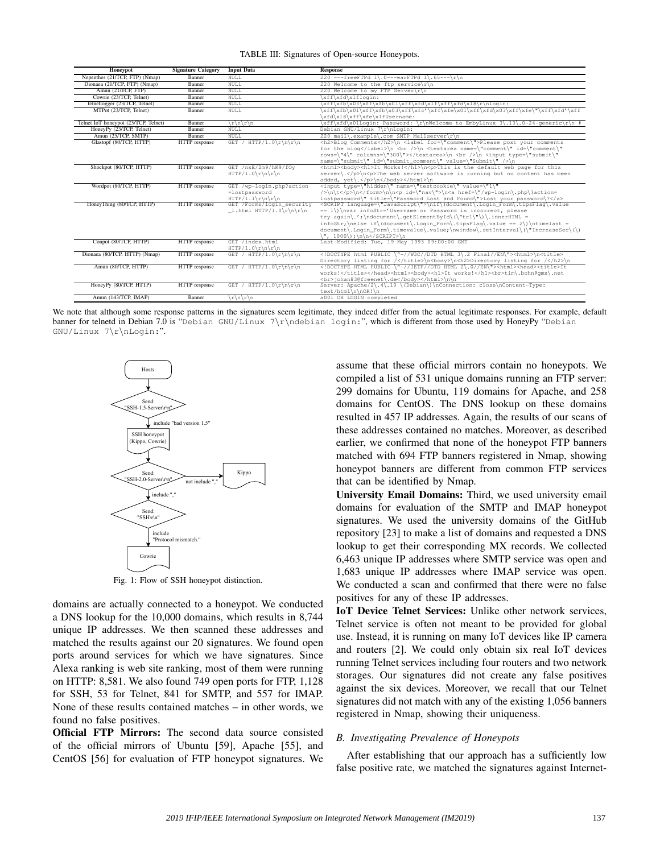|  |  | TABLE III: Signatures of Open-source Honeypots. |  |
|--|--|-------------------------------------------------|--|
|--|--|-------------------------------------------------|--|

| Honeypot                             | <b>Signature Category</b> | <b>Input Data</b>         | <b>Response</b>                                                                            |
|--------------------------------------|---------------------------|---------------------------|--------------------------------------------------------------------------------------------|
| Nepenthes (21/TCP, FTP) (Nmap)       | Banner                    | NULL                      | 220 ---freeFTPd 1\.0---warFTPd 1\.65---\r\n                                                |
| Dionaea (21/TCP, FTP) (Nmap)         | Banner                    | NULL                      | 220 Welcome to the ftp service\r\n                                                         |
| Amun (21/TCP, FTP)                   | Banner                    | <b>NULL</b>               | 220 Welcome to my FTP Server\r\n                                                           |
| Cowrie (23/TCP, Telnet)              | Banner                    | <b>NULL</b>               | \xff\xfd\x1flogin:                                                                         |
| telnetlogger (23/TCP, Telnet)        | Banner                    | NULL                      | \xff\xfb\x03\xff\xfb\x01\xff\xfd\x1f\xff\xfd\x18\r\nloqin:                                 |
| MTPot (23/TCP, Telnet)               | Banner                    | <b>NULL</b>               | \xff\xfb\x01\xff\xfb\x03\xff\xfc'\xff\xfe\x01\xff\xfd\x03\xff\xfe\"\xff\xfd'\xff           |
|                                      |                           |                           | \xfd\x18\xff\xfe\x1fUsername:                                                              |
| Telnet IoT honeypot (23/TCP, Telnet) | Banner                    | $\frac{r}{n}$             | \xff\xfd\x01Loqin: Password: \r\nWelcome to EmbyLinux 3\.13\.0-24-qeneric\r\n #            |
| HoneyPy (23/TCP, Telnet)             | Banner                    | NULL                      | Debian GNU/Linux 7\r\nLogin:                                                               |
| Amun (25/TCP, SMTP)                  | Banner                    | <b>NULL</b>               | 220 mail\.example\.com SMTP Mailserver\r\n                                                 |
| Glastopf (80/TCP, HTTP)              | HTTP response             | GET / HTTP/1.0\r\n\r\n    | <h2>Blog Comments</h2> \n <label for='\"comment\"'>Please post your comments</label>       |
|                                      |                           |                           | for the blog\n<br>\n <textarea id='\"comment\"&lt;/td' name='\"comment\"'></textarea>      |
|                                      |                           |                           | rows=\"4\" columns=\"300\">\n<br>>>>>> <input type='\"submit\"&lt;/td'/>                   |
|                                      |                           |                           | name=\"submit\" id=\"submit_comment\" value=\"Submit\" />\n                                |
| Shockpot (80/TCP, HTTP)              | HTTP response             | GET /nsE/2m9/hK9/fOv      | <html><br/>body&gt;<h1>It Works!</h1>\n<p>This is the default web page for this</p></html> |
|                                      |                           | $HTTP/1.0\r\nhr\n\n\$     | server\.\n <p>The web server software is running but no content has been</p>               |
| Wordpot (80/TCP, HTTP)               | HTTP response             | GET /wp-login.php?action  | added, yet\.\n\n<br><input name='\"testcookie\"' type='\"hidden\"' value='\"1\"&lt;/td'/>  |
|                                      |                           | =lostpassword             | />\n\t\n\n\n <p id='\"nav\"'>\n<a href='\"/wp-login\.php\?action=&lt;/td'></a></p>         |
|                                      |                           |                           | lostpassword\" title=\"Password Lost and Found\">Lost your password\?                      |
| HoneyThing (80/TCP, HTTP)            | HTTP response             | GET /Forms/login security | <script language='\"JavaScript\"'></script>                                                |

We note that although some response patterns in the signatures seem legitimate, they indeed differ from the actual legitimate responses. For example, default banner for telnetd in Debian 7.0 is "Debian GNU/Linux 7\r\ndebian login:", which is different from those used by HoneyPy "Debian GNU/Linux 7\r\nLogin:".



Fig. 1: Flow of SSH honeypot distinction.

domains are actually connected to a honeypot. We conducted a DNS lookup for the 10,000 domains, which results in 8,744 unique IP addresses. We then scanned these addresses and matched the results against our 20 signatures. We found open ports around services for which we have signatures. Since Alexa ranking is web site ranking, most of them were running on HTTP: 8,581. We also found 749 open ports for FTP, 1,128 for SSH, 53 for Telnet, 841 for SMTP, and 557 for IMAP. None of these results contained matches – in other words, we found no false positives.

Official FTP Mirrors: The second data source consisted of the official mirrors of Ubuntu [59], Apache [55], and CentOS [56] for evaluation of FTP honeypot signatures. We assume that these official mirrors contain no honeypots. We compiled a list of 531 unique domains running an FTP server: 299 domains for Ubuntu, 119 domains for Apache, and 258 domains for CentOS. The DNS lookup on these domains resulted in 457 IP addresses. Again, the results of our scans of these addresses contained no matches. Moreover, as described earlier, we confirmed that none of the honeypot FTP banners matched with 694 FTP banners registered in Nmap, showing honeypot banners are different from common FTP services that can be identified by Nmap.

University Email Domains: Third, we used university email domains for evaluation of the SMTP and IMAP honeypot signatures. We used the university domains of the GitHub repository [23] to make a list of domains and requested a DNS lookup to get their corresponding MX records. We collected 6,463 unique IP addresses where SMTP service was open and 1,683 unique IP addresses where IMAP service was open. We conducted a scan and confirmed that there were no false positives for any of these IP addresses.

IoT Device Telnet Services: Unlike other network services, Telnet service is often not meant to be provided for global use. Instead, it is running on many IoT devices like IP camera and routers [2]. We could only obtain six real IoT devices running Telnet services including four routers and two network storages. Our signatures did not create any false positives against the six devices. Moreover, we recall that our Telnet signatures did not match with any of the existing 1,056 banners registered in Nmap, showing their uniqueness.

# *B. Investigating Prevalence of Honeypots*

After establishing that our approach has a sufficiently low false positive rate, we matched the signatures against Internet-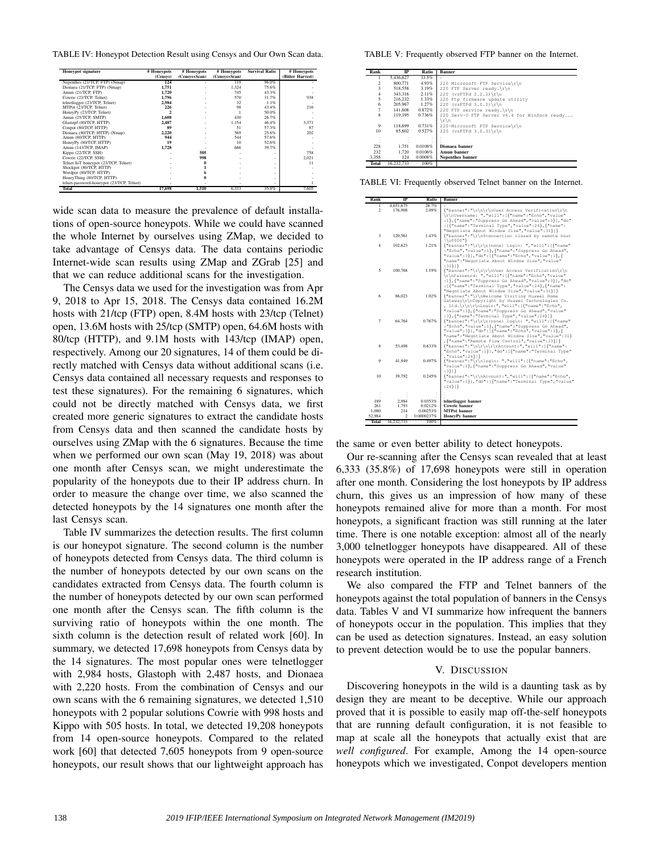TABLE IV: Honeypot Detection Result using Censys and Our Own Scan data.

| <b>Honeypot</b> signature                 | # Honeypots | # Honeypots   | # Honeypots   | <b>Survival Ratio</b> | # Honeypots      |
|-------------------------------------------|-------------|---------------|---------------|-----------------------|------------------|
|                                           | (Censys)    | (Censys+Scan) | (Censys+Scan) |                       | (Bitter Harvest) |
| Nepenthes (21/TCP, FTP) (Nmap)            | 124         |               | 119           | 96.0%                 |                  |
| Dionaea (21/TCP, FTP) (Nmap)              | 1,751       |               | 1.324         | 75.6%                 |                  |
| Amun (21/TCP, FTP)                        | 1.720       |               | 745           | 43.3%                 |                  |
| Cowrie (23/TCP, Telnet)                   | 1.796       |               | 570           | 31.7%                 | 938              |
| telnetlogger (23/TCP, Telnet)             | 2.984       |               | 32            | 1.1%                  |                  |
| MTPot (23/TCP, Telnet)                    | 226         |               | 98            | 43.4%                 | 216              |
| HoneyPy (23/TCP, Telnet)                  |             |               |               | 50.0%                 |                  |
| Amun (25/TCP, SMTP)                       | 1.608       |               | 430           | 26.7%                 |                  |
| Glastopf (80/TCP, HTTP)                   | 2.487       |               | 1.154         | 46.4%                 | 3,371            |
| Conpot (80/TCP, HTTP)                     | 89          |               | 51            | 57.3%                 | 87               |
| Dionaea (80/TCP, HTTP) (Nmap)             | 2.220       |               | 569           | 25.6%                 | 202              |
| Amun (80/TCP, HTTP)                       | 944         |               | 544           | 57.6%                 |                  |
| HoneyPy (80/TCP, HTTP)                    | 19          |               | 10            | 52.6%                 |                  |
| Amun (143/TCP, IMAP)                      | 1.728       |               | 686           | 39.7%                 |                  |
| Kippo (22/TCP, SSH)                       |             | 505           |               |                       | 758              |
| Cowrie (22/TCP, SSH)                      |             | 998           |               |                       | 2,021            |
| Telnet IoT honeypot (23/TCP, Telnet)      |             |               |               | ۰                     | 11               |
| Shockpot (80/TCP, HTTP)                   |             |               |               | ۰                     |                  |
| Wordpot (80/TCP, HTTP)                    |             |               |               |                       |                  |
| HoneyThing (80/TCP, HTTP)                 |             |               |               | ۰                     |                  |
| telnet-password-honeypot (23/TCP, Telnet) |             |               |               | ۰                     |                  |
| Total                                     | 17,698      | 1.510         | 6.333         | 35.8%                 | 7.605            |

wide scan data to measure the prevalence of default installations of open-source honeypots. While we could have scanned the whole Internet by ourselves using ZMap, we decided to take advantage of Censys data. The data contains periodic Internet-wide scan results using ZMap and ZGrab [25] and that we can reduce additional scans for the investigation.

The Censys data we used for the investigation was from Apr 9, 2018 to Apr 15, 2018. The Censys data contained 16.2M hosts with 21/tcp (FTP) open, 8.4M hosts with 23/tcp (Telnet) open, 13.6M hosts with 25/tcp (SMTP) open, 64.6M hosts with 80/tcp (HTTP), and 9.1M hosts with 143/tcp (IMAP) open, respectively. Among our 20 signatures, 14 of them could be directly matched with Censys data without additional scans (i.e. Censys data contained all necessary requests and responses to test these signatures). For the remaining 6 signatures, which could not be directly matched with Censys data, we first created more generic signatures to extract the candidate hosts from Censys data and then scanned the candidate hosts by ourselves using ZMap with the 6 signatures. Because the time when we performed our own scan (May 19, 2018) was about one month after Censys scan, we might underestimate the popularity of the honeypots due to their IP address churn. In order to measure the change over time, we also scanned the detected honeypots by the 14 signatures one month after the last Censys scan.

Table IV summarizes the detection results. The first column is our honeypot signature. The second column is the number of honeypots detected from Censys data. The third column is the number of honeypots detected by our own scans on the candidates extracted from Censys data. The fourth column is the number of honeypots detected by our own scan performed one month after the Censys scan. The fifth column is the surviving ratio of honeypots within the one month. The sixth column is the detection result of related work [60]. In summary, we detected 17,698 honeypots from Censys data by the 14 signatures. The most popular ones were telnetlogger with 2,984 hosts, Glastoph with 2,487 hosts, and Dionaea with 2,220 hosts. From the combination of Censys and our own scans with the 6 remaining signatures, we detected 1,510 honeypots with 2 popular solutions Cowrie with 998 hosts and Kippo with 505 hosts. In total, we detected 19,208 honeypots from 14 open-source honeypots. Compared to the related work [60] that detected 7,605 honeypots from 9 open-source honeypots, our result shows that our lightweight approach has

TABLE V: Frequently observed FTP banner on the Internet.

| Rank                    | $_{\rm IP}$ | Ratio   | <b>Banner</b>                                |
|-------------------------|-------------|---------|----------------------------------------------|
|                         | 5.436.627   | 33.5%   |                                              |
| $\overline{\mathbf{c}}$ | 800,771     | 4.93%   | 220 Microsoft FTP Service\r\n                |
| $\overline{\mathbf{3}}$ | 518,558     | 3.19%   | 220 FTP Server ready. $\r\ln$                |
| $\overline{4}$          | 343,316     | 2.11%   | 220 (vsFTPd $2.2.2$ ) \r\n                   |
| 5                       | 216.232     | 1.33%   | 220 Ftp firmware update utility              |
| 6                       | 205,967     | 1.27%   | 220 (vsFTPd $3.0.2$ ) \r\n                   |
| $\overline{7}$          | 141,608     | 0.872%  | 220 FTP service ready. \r\n                  |
| $\mathbf{8}$            | 119,395     | 0.736%  | 220 Serv-U FTP Server v6.4 for WinSock ready |
|                         |             |         | $\r \n$                                      |
| 9                       | 118,699     | 0.731%  | 220-Microsoft FTP Service\r\n                |
| 10                      | 85,602      | 0.527%  | 220 (vsFTPd $3.0.3$ ) \r\n                   |
| ÷                       |             |         |                                              |
|                         |             |         |                                              |
| 228                     | 1.751       | 0.0108% | Dionaea banner                               |
| 232                     | 1.720       | 0.0106% | Amun banner                                  |
| 3,358                   | 124         | 0.0008% | Nepenthes banner                             |
| Total                   | 16.232.733  | 100%    |                                              |

TABLE VI: Frequently observed Telnet banner on the Internet.

| Rank            | IP                           | Ratio                  | <b>Banner</b>                                                                                                      |
|-----------------|------------------------------|------------------------|--------------------------------------------------------------------------------------------------------------------|
| 1               | 4,651,675                    | 28.7%                  |                                                                                                                    |
| $\overline{2}$  | 176.908                      | 2.09%                  | {"banner":"\r\n\r\nUser Access Verification\r\n                                                                    |
|                 |                              |                        | \r\nUsername: ","will": [{"name":"Echo","value"                                                                    |
|                 |                              |                        | :1}, {"name": "Suppress Go Ahead", "value":3}], "do"                                                               |
|                 |                              |                        | : [{"name": "Terminal Type", "value":24}, {"name":<br>"Negotiate About Window Size", "value":31}}}                 |
| 3               | 120.561                      | 1.43%                  | {"banner":"\r\n%connection closed by remote host                                                                   |
|                 |                              |                        | $! \u0000"$                                                                                                        |
| $\overline{4}$  | 102.623                      | 1.21%                  | {"banner":"\r\r\n(none) login: ","will":[{"name"                                                                   |
|                 |                              |                        | : "Echo", "value":1}, { "name": "Suppress Go Ahead",                                                               |
|                 |                              |                        | "value":3} ], "do": [{"name":"Echo", "value":1}, {<br>"name": "Negotiate About Window Size", "value"               |
|                 |                              |                        | $: 31$ }1}                                                                                                         |
| 5               | 100.768                      | 1.19%                  | {"banner":"\r\n\r\nUser Access Verification\r\n                                                                    |
|                 |                              |                        | \r\nPassword: ","will": [{"name":"Echo","value"                                                                    |
|                 |                              |                        | :1}, {"name": "Suppress Go Ahead", "value":3}], "do"                                                               |
|                 |                              |                        | : [{"name": "Terminal Type", "value":24}, {"name":                                                                 |
|                 |                              |                        | "Negotiate About Window Size", "value":31}}}                                                                       |
| 6               | 86.023                       | 1.02%                  | {"banner":"\r\nWelcome Visiting Huawei Home                                                                        |
|                 |                              |                        | Gateway\r\nCopyright by Huawei Technologies Co.                                                                    |
|                 |                              |                        | , Ltd.\r\n\r\nLogin:", "will": [{"name": "Echo",<br>"value":1}, { "name": "Suppress Go Ahead", "value"             |
|                 |                              |                        | :3}, {"name": "Terminal Type", "value":24}}}                                                                       |
| $\overline{7}$  | 64.764                       | 0.767%                 |                                                                                                                    |
|                 |                              |                        | :"Echo", "value":1}, { "name": "Suppress Go Ahead",                                                                |
|                 |                              |                        | "value":3} ], "do": [{"name": "Echo", "value":1}, {                                                                |
|                 |                              |                        | "name": "Negotiate About Window Size", "value":31}                                                                 |
|                 |                              |                        | , {"name": "Remote Flow Control", "value": 33}}}                                                                   |
| 8               | 53,498                       | 0.633%                 | ${\text{\texttt{``banner''}}:\texttt{\texttt{r}\cdot\texttt{r}\cdot\texttt{``will''}}:\texttt{\texttt{``name''}}:$ |
|                 |                              |                        | "Echo", "value":1} ], "do": [{"name": "Terminal Type"<br>, "value":24}}}                                           |
| 9               | 41.949                       | 0.497%                 | {"banner":"\r\nlogin: ","will": [{"name":"Echo",                                                                   |
|                 |                              |                        | "value":1}, { "name": "Suppress Go Ahead", "value"                                                                 |
|                 |                              |                        | :3}]}                                                                                                              |
| 10              | 39.792                       | 0.245%                 | {"banner":"\r\nAccount:","will": [{"name":"Echo",                                                                  |
|                 |                              |                        | "value":1} ], "do": [{"name": "Terminal Type", "value"                                                             |
|                 |                              |                        | $: 24$ } }                                                                                                         |
|                 |                              |                        |                                                                                                                    |
| 189             | 2.984                        | 0.0353%                | telnetlogger banner                                                                                                |
| 261             | 1.793                        | 0.0212%                | <b>Cowrie</b> banner                                                                                               |
| 1.080<br>52.984 | 214                          | 0.00253%<br>0.0000237% | <b>MTPot</b> banner<br><b>HoneyPy</b> banner                                                                       |
|                 | $\overline{2}$<br>16.232.733 | 100%                   |                                                                                                                    |
| <b>Total</b>    |                              |                        |                                                                                                                    |

the same or even better ability to detect honeypots.

Our re-scanning after the Censys scan revealed that at least 6,333 (35.8%) of 17,698 honeypots were still in operation after one month. Considering the lost honeypots by IP address churn, this gives us an impression of how many of these honeypots remained alive for more than a month. For most honeypots, a significant fraction was still running at the later time. There is one notable exception: almost all of the nearly 3,000 telnetlogger honeypots have disappeared. All of these honeypots were operated in the IP address range of a French research institution.

We also compared the FTP and Telnet banners of the honeypots against the total population of banners in the Censys data. Tables V and VI summarize how infrequent the banners of honeypots occur in the population. This implies that they can be used as detection signatures. Instead, an easy solution to prevent detection would be to use the popular banners.

# V. DISCUSSION

Discovering honeypots in the wild is a daunting task as by design they are meant to be deceptive. While our approach proved that it is possible to easily map off-the-self honeypots that are running default configuration, it is not feasible to map at scale all the honeypots that actually exist that are *well configured*. For example, Among the 14 open-source honeypots which we investigated, Conpot developers mention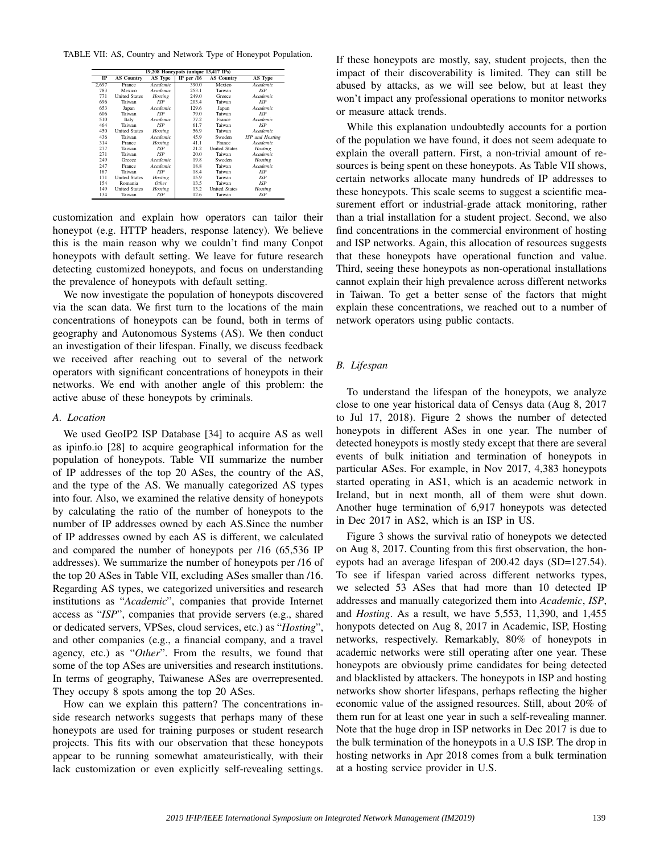TABLE VII: AS, Country and Network Type of Honeypot Population.

| 19,208 Honeypots (unique 13,417 IPs) |                      |                |              |                      |                 |  |  |
|--------------------------------------|----------------------|----------------|--------------|----------------------|-----------------|--|--|
| ⊪                                    | <b>AS Country</b>    | AS Type        | IP per $/16$ | <b>AS Country</b>    | AS Type         |  |  |
| 2.697                                | France               | Academic       | 390.0        | Mexico               | Academic        |  |  |
| 783                                  | Mexico               | Academic       | 253.1        | Taiwan               | <b>ISP</b>      |  |  |
| 771                                  | <b>United States</b> | <b>Hosting</b> | 249.0        | <b>Greece</b>        | Academic        |  |  |
| 696                                  | Taiwan               | <b>ISP</b>     | 203.4        | Taiwan               | <b>ISP</b>      |  |  |
| 653                                  | Japan                | Academic       | 129.6        | Japan                | Academic        |  |  |
| 606                                  | Taiwan               | <b>ISP</b>     | 79.0         | Taiwan               | <b>ISP</b>      |  |  |
| 510                                  | Italy                | Academic       | 77.2         | France               | Academic        |  |  |
| 464                                  | Taiwan               | <b>ISP</b>     | 61.7         | Taiwan               | <b>ISP</b>      |  |  |
| 450                                  | <b>United States</b> | Hosting        | 56.9         | Taiwan               | Academic        |  |  |
| 436                                  | Taiwan               | Academic       | 45.9         | Sweden               | ISP and Hosting |  |  |
| 314                                  | <b>France</b>        | Hosting        | 41.1         | France               | Academic        |  |  |
| 277                                  | Taiwan               | <b>ISP</b>     | 21.2         | <b>United States</b> | Hosting         |  |  |
| 271                                  | Taiwan               | <b>ISP</b>     | 20.0         | Taiwan               | Academic        |  |  |
| 249                                  | Greece               | Academic       | 19.8         | Sweden               | Hosting         |  |  |
| 247                                  | <b>France</b>        | Academic       | 18.8         | Taiwan               | Academic        |  |  |
| 187                                  | Taiwan               | <b>ISP</b>     | 18.4         | Taiwan               | <b>ISP</b>      |  |  |
| 171                                  | <b>United States</b> | Hosting        | 15.9         | Taiwan               | <b>ISP</b>      |  |  |
| 154                                  | Romania              | Other          | 13.5         | Taiwan               | <b>ISP</b>      |  |  |
| 149                                  | <b>United States</b> | Hosting        | 13.2         | <b>United States</b> | Hosting         |  |  |
| 134                                  | Taiwan               | <b>ISP</b>     | 12.6         | Taiwan               | <b>ISP</b>      |  |  |

customization and explain how operators can tailor their honeypot (e.g. HTTP headers, response latency). We believe this is the main reason why we couldn't find many Conpot honeypots with default setting. We leave for future research detecting customized honeypots, and focus on understanding the prevalence of honeypots with default setting.

We now investigate the population of honeypots discovered via the scan data. We first turn to the locations of the main concentrations of honeypots can be found, both in terms of geography and Autonomous Systems (AS). We then conduct an investigation of their lifespan. Finally, we discuss feedback we received after reaching out to several of the network operators with significant concentrations of honeypots in their networks. We end with another angle of this problem: the active abuse of these honeypots by criminals.

#### *A. Location*

We used GeoIP2 ISP Database [34] to acquire AS as well as ipinfo.io [28] to acquire geographical information for the population of honeypots. Table VII summarize the number of IP addresses of the top 20 ASes, the country of the AS, and the type of the AS. We manually categorized AS types into four. Also, we examined the relative density of honeypots by calculating the ratio of the number of honeypots to the number of IP addresses owned by each AS.Since the number of IP addresses owned by each AS is different, we calculated and compared the number of honeypots per /16 (65,536 IP addresses). We summarize the number of honeypots per /16 of the top 20 ASes in Table VII, excluding ASes smaller than /16. Regarding AS types, we categorized universities and research institutions as "*Academic*", companies that provide Internet access as "*ISP*", companies that provide servers (e.g., shared or dedicated servers, VPSes, cloud services, etc.) as "*Hosting*", and other companies (e.g., a financial company, and a travel agency, etc.) as "*Other*". From the results, we found that some of the top ASes are universities and research institutions. In terms of geography, Taiwanese ASes are overrepresented. They occupy 8 spots among the top 20 ASes.

How can we explain this pattern? The concentrations inside research networks suggests that perhaps many of these honeypots are used for training purposes or student research projects. This fits with our observation that these honeypots appear to be running somewhat amateuristically, with their lack customization or even explicitly self-revealing settings. If these honeypots are mostly, say, student projects, then the impact of their discoverability is limited. They can still be abused by attacks, as we will see below, but at least they won't impact any professional operations to monitor networks or measure attack trends.

While this explanation undoubtedly accounts for a portion of the population we have found, it does not seem adequate to explain the overall pattern. First, a non-trivial amount of resources is being spent on these honeypots. As Table VII shows, certain networks allocate many hundreds of IP addresses to these honeypots. This scale seems to suggest a scientific measurement effort or industrial-grade attack monitoring, rather than a trial installation for a student project. Second, we also find concentrations in the commercial environment of hosting and ISP networks. Again, this allocation of resources suggests that these honeypots have operational function and value. Third, seeing these honeypots as non-operational installations cannot explain their high prevalence across different networks in Taiwan. To get a better sense of the factors that might explain these concentrations, we reached out to a number of network operators using public contacts.

# *B. Lifespan*

To understand the lifespan of the honeypots, we analyze close to one year historical data of Censys data (Aug 8, 2017 to Jul 17, 2018). Figure 2 shows the number of detected honeypots in different ASes in one year. The number of detected honeypots is mostly stedy except that there are several events of bulk initiation and termination of honeypots in particular ASes. For example, in Nov 2017, 4,383 honeypots started operating in AS1, which is an academic network in Ireland, but in next month, all of them were shut down. Another huge termination of 6,917 honeypots was detected in Dec 2017 in AS2, which is an ISP in US.

Figure 3 shows the survival ratio of honeypots we detected on Aug 8, 2017. Counting from this first observation, the honeypots had an average lifespan of 200.42 days (SD=127.54). To see if lifespan varied across different networks types, we selected 53 ASes that had more than 10 detected IP addresses and manually categorized them into *Academic*, *ISP*, and *Hosting*. As a result, we have 5,553, 11,390, and 1,455 honypots detected on Aug 8, 2017 in Academic, ISP, Hosting networks, respectively. Remarkably, 80% of honeypots in academic networks were still operating after one year. These honeypots are obviously prime candidates for being detected and blacklisted by attackers. The honeypots in ISP and hosting networks show shorter lifespans, perhaps reflecting the higher economic value of the assigned resources. Still, about 20% of them run for at least one year in such a self-revealing manner. Note that the huge drop in ISP networks in Dec 2017 is due to the bulk termination of the honeypots in a U.S ISP. The drop in hosting networks in Apr 2018 comes from a bulk termination at a hosting service provider in U.S.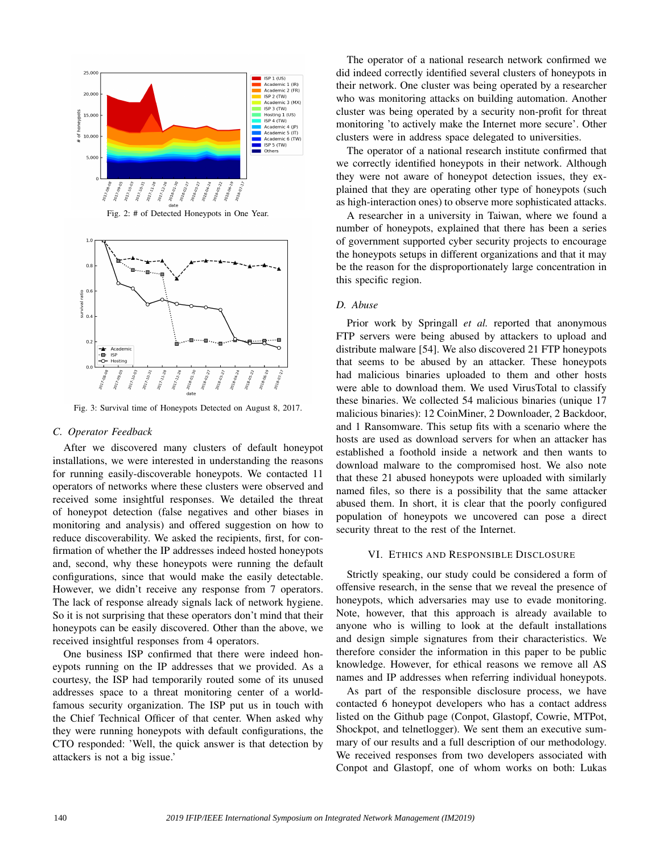

Fig. 2: # of Detected Honeypots in One Year.



Fig. 3: Survival time of Honeypots Detected on August 8, 2017.

## *C. Operator Feedback*

After we discovered many clusters of default honeypot installations, we were interested in understanding the reasons for running easily-discoverable honeypots. We contacted 11 operators of networks where these clusters were observed and received some insightful responses. We detailed the threat of honeypot detection (false negatives and other biases in monitoring and analysis) and offered suggestion on how to reduce discoverability. We asked the recipients, first, for confirmation of whether the IP addresses indeed hosted honeypots and, second, why these honeypots were running the default configurations, since that would make the easily detectable. However, we didn't receive any response from 7 operators. The lack of response already signals lack of network hygiene. So it is not surprising that these operators don't mind that their honeypots can be easily discovered. Other than the above, we received insightful responses from 4 operators.

One business ISP confirmed that there were indeed honeypots running on the IP addresses that we provided. As a courtesy, the ISP had temporarily routed some of its unused addresses space to a threat monitoring center of a worldfamous security organization. The ISP put us in touch with the Chief Technical Officer of that center. When asked why they were running honeypots with default configurations, the CTO responded: 'Well, the quick answer is that detection by attackers is not a big issue.'

The operator of a national research network confirmed we did indeed correctly identified several clusters of honeypots in their network. One cluster was being operated by a researcher who was monitoring attacks on building automation. Another cluster was being operated by a security non-profit for threat monitoring 'to actively make the Internet more secure'. Other clusters were in address space delegated to universities.

The operator of a national research institute confirmed that we correctly identified honeypots in their network. Although they were not aware of honeypot detection issues, they explained that they are operating other type of honeypots (such as high-interaction ones) to observe more sophisticated attacks.

A researcher in a university in Taiwan, where we found a number of honeypots, explained that there has been a series of government supported cyber security projects to encourage the honeypots setups in different organizations and that it may be the reason for the disproportionately large concentration in this specific region.

# *D. Abuse*

Prior work by Springall *et al.* reported that anonymous FTP servers were being abused by attackers to upload and distribute malware [54]. We also discovered 21 FTP honeypots that seems to be abused by an attacker. These honeypots had malicious binaries uploaded to them and other hosts were able to download them. We used VirusTotal to classify these binaries. We collected 54 malicious binaries (unique 17 malicious binaries): 12 CoinMiner, 2 Downloader, 2 Backdoor, and 1 Ransomware. This setup fits with a scenario where the hosts are used as download servers for when an attacker has established a foothold inside a network and then wants to download malware to the compromised host. We also note that these 21 abused honeypots were uploaded with similarly named files, so there is a possibility that the same attacker abused them. In short, it is clear that the poorly configured population of honeypots we uncovered can pose a direct security threat to the rest of the Internet.

## VI. ETHICS AND RESPONSIBLE DISCLOSURE

Strictly speaking, our study could be considered a form of offensive research, in the sense that we reveal the presence of honeypots, which adversaries may use to evade monitoring. Note, however, that this approach is already available to anyone who is willing to look at the default installations and design simple signatures from their characteristics. We therefore consider the information in this paper to be public knowledge. However, for ethical reasons we remove all AS names and IP addresses when referring individual honeypots.

As part of the responsible disclosure process, we have contacted 6 honeypot developers who has a contact address listed on the Github page (Conpot, Glastopf, Cowrie, MTPot, Shockpot, and telnetlogger). We sent them an executive summary of our results and a full description of our methodology. We received responses from two developers associated with Conpot and Glastopf, one of whom works on both: Lukas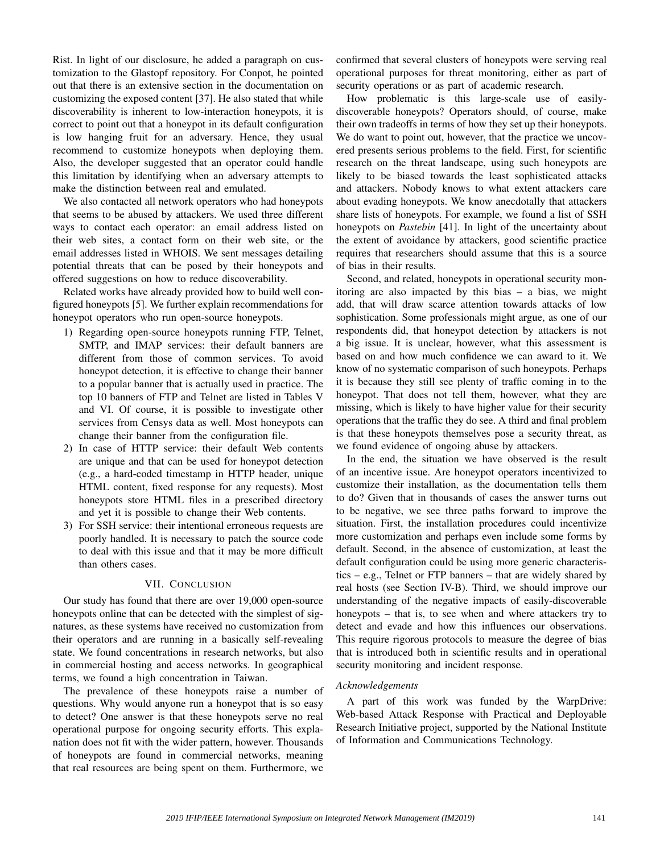Rist. In light of our disclosure, he added a paragraph on customization to the Glastopf repository. For Conpot, he pointed out that there is an extensive section in the documentation on customizing the exposed content [37]. He also stated that while discoverability is inherent to low-interaction honeypots, it is correct to point out that a honeypot in its default configuration is low hanging fruit for an adversary. Hence, they usual recommend to customize honeypots when deploying them. Also, the developer suggested that an operator could handle this limitation by identifying when an adversary attempts to make the distinction between real and emulated.

We also contacted all network operators who had honeypots that seems to be abused by attackers. We used three different ways to contact each operator: an email address listed on their web sites, a contact form on their web site, or the email addresses listed in WHOIS. We sent messages detailing potential threats that can be posed by their honeypots and offered suggestions on how to reduce discoverability.

Related works have already provided how to build well configured honeypots [5]. We further explain recommendations for honeypot operators who run open-source honeypots.

- 1) Regarding open-source honeypots running FTP, Telnet, SMTP, and IMAP services: their default banners are different from those of common services. To avoid honeypot detection, it is effective to change their banner to a popular banner that is actually used in practice. The top 10 banners of FTP and Telnet are listed in Tables V and VI. Of course, it is possible to investigate other services from Censys data as well. Most honeypots can change their banner from the configuration file.
- 2) In case of HTTP service: their default Web contents are unique and that can be used for honeypot detection (e.g., a hard-coded timestamp in HTTP header, unique HTML content, fixed response for any requests). Most honeypots store HTML files in a prescribed directory and yet it is possible to change their Web contents.
- 3) For SSH service: their intentional erroneous requests are poorly handled. It is necessary to patch the source code to deal with this issue and that it may be more difficult than others cases.

## VII. CONCLUSION

Our study has found that there are over 19,000 open-source honeypots online that can be detected with the simplest of signatures, as these systems have received no customization from their operators and are running in a basically self-revealing state. We found concentrations in research networks, but also in commercial hosting and access networks. In geographical terms, we found a high concentration in Taiwan.

The prevalence of these honeypots raise a number of questions. Why would anyone run a honeypot that is so easy to detect? One answer is that these honeypots serve no real operational purpose for ongoing security efforts. This explanation does not fit with the wider pattern, however. Thousands of honeypots are found in commercial networks, meaning that real resources are being spent on them. Furthermore, we confirmed that several clusters of honeypots were serving real operational purposes for threat monitoring, either as part of security operations or as part of academic research.

How problematic is this large-scale use of easilydiscoverable honeypots? Operators should, of course, make their own tradeoffs in terms of how they set up their honeypots. We do want to point out, however, that the practice we uncovered presents serious problems to the field. First, for scientific research on the threat landscape, using such honeypots are likely to be biased towards the least sophisticated attacks and attackers. Nobody knows to what extent attackers care about evading honeypots. We know anecdotally that attackers share lists of honeypots. For example, we found a list of SSH honeypots on *Pastebin* [41]. In light of the uncertainty about the extent of avoidance by attackers, good scientific practice requires that researchers should assume that this is a source of bias in their results.

Second, and related, honeypots in operational security monitoring are also impacted by this bias – a bias, we might add, that will draw scarce attention towards attacks of low sophistication. Some professionals might argue, as one of our respondents did, that honeypot detection by attackers is not a big issue. It is unclear, however, what this assessment is based on and how much confidence we can award to it. We know of no systematic comparison of such honeypots. Perhaps it is because they still see plenty of traffic coming in to the honeypot. That does not tell them, however, what they are missing, which is likely to have higher value for their security operations that the traffic they do see. A third and final problem is that these honeypots themselves pose a security threat, as we found evidence of ongoing abuse by attackers.

In the end, the situation we have observed is the result of an incentive issue. Are honeypot operators incentivized to customize their installation, as the documentation tells them to do? Given that in thousands of cases the answer turns out to be negative, we see three paths forward to improve the situation. First, the installation procedures could incentivize more customization and perhaps even include some forms by default. Second, in the absence of customization, at least the default configuration could be using more generic characteristics – e.g., Telnet or FTP banners – that are widely shared by real hosts (see Section IV-B). Third, we should improve our understanding of the negative impacts of easily-discoverable honeypots – that is, to see when and where attackers try to detect and evade and how this influences our observations. This require rigorous protocols to measure the degree of bias that is introduced both in scientific results and in operational security monitoring and incident response.

# *Acknowledgements*

A part of this work was funded by the WarpDrive: Web-based Attack Response with Practical and Deployable Research Initiative project, supported by the National Institute of Information and Communications Technology.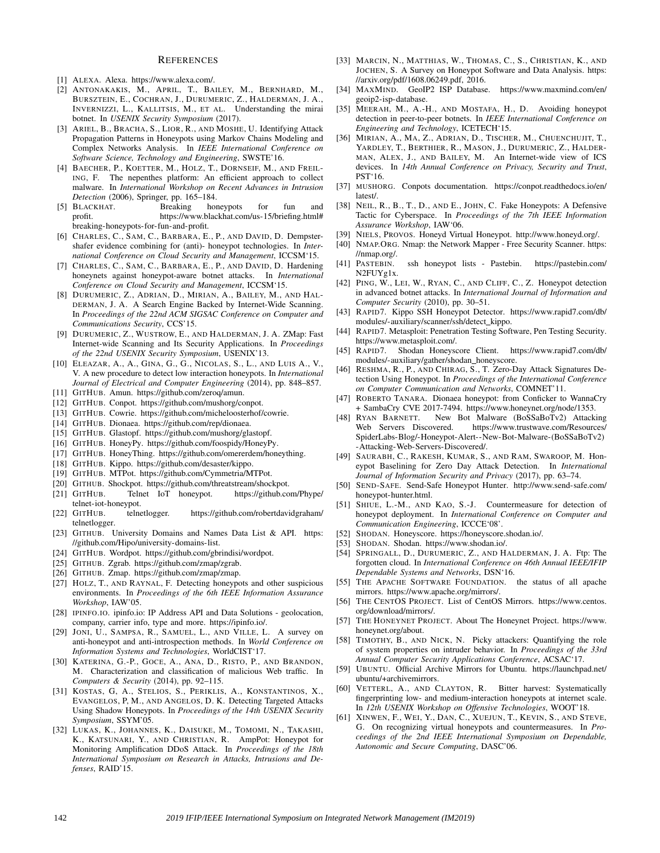#### **REFERENCES**

- [1] ALEXA. Alexa. https://www.alexa.com/.
- [2] ANTONAKAKIS, M., APRIL, T., BAILEY, M., BERNHARD, M., BURSZTEIN, E., COCHRAN, J., DURUMERIC, Z., HALDERMAN, J. A., INVERNIZZI, L., KALLITSIS, M., ET AL. Understanding the mirai botnet. In *USENIX Security Symposium* (2017).
- [3] ARIEL, B., BRACHA, S., LIOR, R., AND MOSHE, U. Identifying Attack Propagation Patterns in Honeypots using Markov Chains Modeling and Complex Networks Analysis. In *IEEE International Conference on Software Science, Technology and Engineering*, SWSTE'16.
- [4] BAECHER, P., KOETTER, M., HOLZ, T., DORNSEIF, M., AND FREIL-ING, F. The nepenthes platform: An efficient approach to collect malware. In *International Workshop on Recent Advances in Intrusion Detection* (2006), Springer, pp. 165–184.
- [5] BLACKHAT. Breaking honeypots for fun and profit. https://www.blackhat.com/us-15/briefing.html# breaking-honeypots-for-fun-and-profit.
- [6] CHARLES, C., SAM, C., BARBARA, E., P., AND DAVID, D. Dempstershafer evidence combining for (anti)- honeypot technologies. In *International Conference on Cloud Security and Management*, ICCSM'15.
- [7] CHARLES, C., SAM, C., BARBARA, E., P., AND DAVID, D. Hardening honeynets against honeypot-aware botnet attacks. In *International Conference on Cloud Security and Management*, ICCSM'15.
- [8] DURUMERIC, Z., ADRIAN, D., MIRIAN, A., BAILEY, M., AND HAL-DERMAN, J. A. A Search Engine Backed by Internet-Wide Scanning. In *Proceedings of the 22nd ACM SIGSAC Conference on Computer and Communications Security*, CCS'15.
- [9] DURUMERIC, Z., WUSTROW, E., AND HALDERMAN, J. A. ZMap: Fast Internet-wide Scanning and Its Security Applications. In *Proceedings of the 22nd USENIX Security Symposium*, USENIX'13.
- [10] ELEAZAR, A., A., GINA, G., G., NICOLAS, S., L., AND LUIS A., V., V. A new procedure to detect low interaction honeypots. In *International Journal of Electrical and Computer Engineering* (2014), pp. 848–857.
- [11] GITHUB. Amun. https://github.com/zeroq/amun.
- [12] GITHUB. Conpot. https://github.com/mushorg/conpot.
- [13] GITHUB. Cowrie. https://github.com/micheloosterhof/cowrie.
- [14] GITHUB. Dionaea. https://github.com/rep/dionaea.
- [15] GITHUB. Glastopf. https://github.com/mushorg/glastopf.
- [16] GITHUB. HoneyPy. https://github.com/foospidy/HoneyPy.
- [17] GITHUB. HoneyThing. https://github.com/omererdem/honeything.
- [18] GITHUB. Kippo. https://github.com/desaster/kippo.
- [19] GITHUB. MTPot. https://github.com/Cymmetria/MTPot.
- [20] GITHUB. Shockpot. https://github.com/threatstream/shockpot.
- [21] GITHUB. Telnet IoT honeypot. https://github.com/Phype/ telnet-iot-honeypot.
- [22] GITHUB. telnetlogger. https://github.com/robertdavidgraham/ telnetlogger.
- [23] GITHUB. University Domains and Names Data List & API. https: //github.com/Hipo/university-domains-list.
- [24] GITHUB. Wordpot. https://github.com/gbrindisi/wordpot.
- [25] GITHUB. Zgrab. https://github.com/zmap/zgrab.
- [26] GITHUB. Zmap. https://github.com/zmap/zmap.
- [27] HOLZ, T., AND RAYNAL, F. Detecting honeypots and other suspicious environments. In *Proceedings of the 6th IEEE Information Assurance Workshop*, IAW'05.
- [28] IPINFO.IO. ipinfo.io: IP Address API and Data Solutions geolocation, company, carrier info, type and more. https://ipinfo.io/.
- [29] JONI, U., SAMPSA, R., SAMUEL, L., AND VILLE, L. A survey on anti-honeypot and anti-introspection methods. In *World Conference on Information Systems and Technologies*, WorldCIST'17.
- [30] KATERINA, G.-P., GOCE, A., ANA, D., RISTO, P., AND BRANDON, M. Characterization and classification of malicious Web traffic. In *Computers & Security* (2014), pp. 92–115.
- [31] KOSTAS, G, A., STELIOS, S., PERIKLIS, A., KONSTANTINOS, X., EVANGELOS, P, M., AND ANGELOS, D. K. Detecting Targeted Attacks Using Shadow Honeypots. In *Proceedings of the 14th USENIX Security Symposium*, SSYM'05.
- [32] LUKAS, K., JOHANNES, K., DAISUKE, M., TOMOMI, N., TAKASHI, K., KATSUNARI, Y., AND CHRISTIAN, R. AmpPot: Honeypot for Monitoring Amplification DDoS Attack. In *Proceedings of the 18th International Symposium on Research in Attacks, Intrusions and Defenses*, RAID'15.
- [33] MARCIN, N., MATTHIAS, W., THOMAS, C., S., CHRISTIAN, K., AND JOCHEN, S. A Survey on Honeypot Software and Data Analysis. https: //arxiv.org/pdf/1608.06249.pdf, 2016.
- [34] MAXMIND. GeoIP2 ISP Database. https://www.maxmind.com/en/ geoip2-isp-database.
- [35] MEERAH, M., A.-H., AND MOSTAFA, H., D. Avoiding honeypot detection in peer-to-peer botnets. In *IEEE International Conference on Engineering and Technology*, ICETECH'15.
- [36] MIRIAN, A., MA, Z., ADRIAN, D., TISCHER, M., CHUENCHUJIT, T., YARDLEY, T., BERTHIER, R., MASON, J., DURUMERIC, Z., HALDER-MAN, ALEX, J., AND BAILEY, M. An Internet-wide view of ICS devices. In *14th Annual Conference on Privacy, Security and Trust*, PST'16.
- [37] MUSHORG. Conpots documentation. https://conpot.readthedocs.io/en/ latest/.
- [38] NEIL, R., B., T., D., AND E., JOHN, C. Fake Honeypots: A Defensive Tactic for Cyberspace. In *Proceedings of the 7th IEEE Information Assurance Workshop*, IAW'06.
- [39] NIELS, PROVOS. Honeyd Virtual Honeypot. http://www.honeyd.org/.
- [40] NMAP.ORG. Nmap: the Network Mapper Free Security Scanner. https: //nmap.org/.
- [41] PASTEBIN. ssh honeypot lists Pastebin. https://pastebin.com/ N2FUYg1x.
- [42] PING, W., LEI, W., RYAN, C., AND CLIFF, C., Z. Honeypot detection in advanced botnet attacks. In *International Journal of Information and Computer Security* (2010), pp. 30–51.
- [43] RAPID7. Kippo SSH Honeypot Detector. https://www.rapid7.com/db/ modules/-auxiliary/scanner/ssh/detect\_kippo.
- [44] RAPID7. Metasploit: Penetration Testing Software, Pen Testing Security. https://www.metasploit.com/.
- [45] RAPID7. Shodan Honeyscore Client. https://www.rapid7.com/db/ modules/-auxiliary/gather/shodan\_honeyscore.
- [46] RESHMA, R., P., AND CHIRAG, S., T. Zero-Day Attack Signatures Detection Using Honeypot. In *Proceedings of the International Conference on Computer Communication and Networks*, COMNET'11.
- [47] ROBERTO TANARA. Dionaea honeypot: from Conficker to WannaCry + SambaCry CVE 2017-7494. https://www.honeynet.org/node/1353.
- [48] RYAN BARNETT. New Bot Malware (BoSSaBoTv2) Attacking Web Servers Discovered. https://www.trustwave.com/Resources/ SpiderLabs-Blog/-Honeypot-Alert--New-Bot-Malware-(BoSSaBoTv2) -Attacking-Web-Servers-Discovered/.
- [49] SAURABH, C., RAKESH, KUMAR, S., AND RAM, SWAROOP, M. Honeypot Baselining for Zero Day Attack Detection. In *International Journal of Information Security and Privacy* (2017), pp. 63–74.
- [50] SEND-SAFE. Send-Safe Honeypot Hunter. http://www.send-safe.com/ honeypot-hunter.html.
- [51] SHIUE, L.-M., AND KAO, S.-J. Countermeasure for detection of honeypot deployment. In *International Conference on Computer and Communication Engineering*, ICCCE'08'.
- [52] SHODAN. Honeyscore. https://honeyscore.shodan.io/.
- [53] SHODAN. Shodan. https://www.shodan.io/.
- [54] SPRINGALL, D., DURUMERIC, Z., AND HALDERMAN, J. A. Ftp: The forgotten cloud. In *International Conference on 46th Annual IEEE/IFIP Dependable Systems and Networks*, DSN'16.
- [55] THE APACHE SOFTWARE FOUNDATION. the status of all apache mirrors. https://www.apache.org/mirrors/.
- [56] THE CENTOS PROJECT. List of CentOS Mirrors. https://www.centos. org/download/mirrors/.
- [57] THE HONEYNET PROJECT. About The Honeynet Project. https://www. honeynet.org/about.
- [58] TIMOTHY, B., AND NICK, N. Picky attackers: Quantifying the role of system properties on intruder behavior. In *Proceedings of the 33rd Annual Computer Security Applications Conference*, ACSAC'17.
- [59] UBUNTU. Official Archive Mirrors for Ubuntu. https://launchpad.net/ ubuntu/+archivemirrors.
- [60] VETTERL, A., AND CLAYTON, R. Bitter harvest: Systematically fingerprinting low- and medium-interaction honeypots at internet scale. In *12th USENIX Workshop on Offensive Technologies*, WOOT'18.
- [61] XINWEN, F., WEI, Y., DAN, C., XUEJUN, T., KEVIN, S., AND STEVE, G. On recognizing virtual honeypots and countermeasures. In *Proceedings of the 2nd IEEE International Symposium on Dependable, Autonomic and Secure Computing*, DASC'06.